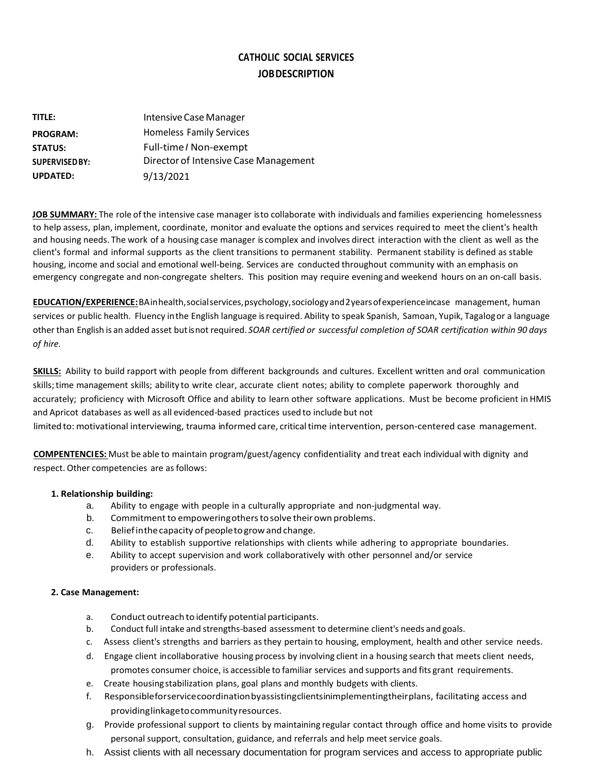# **CATHOLIC SOCIAL SERVICES JOBDESCRIPTION**

| title:               | Intensive Case Manager                |
|----------------------|---------------------------------------|
| <b>PROGRAM:</b>      | <b>Homeless Family Services</b>       |
| <b>STATUS:</b>       | Full-time / Non-exempt                |
| <b>SUPERVISEDBY:</b> | Director of Intensive Case Management |
| <b>UPDATED:</b>      | 9/13/2021                             |

**JOB SUMMARY:** The role ofthe intensive case manager isto collaborate with individuals and families experiencing homelessness to help assess, plan, implement, coordinate, monitor and evaluate the options and services required to meet the client's health and housing needs. The work of a housing case manager is complex and involves direct interaction with the client as well as the client's formal and informal supports as the client transitions to permanent stability. Permanent stability is defined as stable housing, income and social and emotional well-being. Services are conducted throughout community with an emphasis on emergency congregate and non-congregate shelters. This position may require evening and weekend hours on an on-call basis.

**EDUCATION/EXPERIENCE:**BAinhealth,socialservices,psychology,sociologyand2yearsofexperienceincase management, human services or public health. Fluency inthe English language isrequired. Ability to speak Spanish, Samoan, Yupik, Tagalogor a language otherthan English is an added asset butisnot required. *SOAR certified or successful completion of SOAR certification within 90 days of hire.*

**SKILLS:** Ability to build rapport with people from different backgrounds and cultures. Excellent written and oral communication skills;time management skills; ability to write clear, accurate client notes; ability to complete paperwork thoroughly and accurately; proficiency with Microsoft Office and ability to learn other software applications. Must be become proficient in HMIS and Apricot databases as well as all evidenced-based practices used to include but not limited to: motivational interviewing, trauma informed care, critical time intervention, person-centered case management.

**COMPENTENCIES:** Must be able to maintain program/guest/agency confidentiality and treat each individual with dignity and respect. Other competencies are as follows:

# **1. Relationship building:**

- a. Ability to engage with people in a culturally appropriate and non-judgmental way.
- b. Commitment to empowering others to solve their own problems.
- c. Beliefinthecapacity of peopletogrowandchange.
- d. Ability to establish supportive relationships with clients while adhering to appropriate boundaries.
- e. Ability to accept supervision and work collaboratively with other personnel and/or service providers or professionals.

# **2. Case Management:**

- a. Conduct outreach to identify potential participants.
- b. Conduct full intake and strengths-based assessment to determine client's needs and goals.
- c. Assess client's strengths and barriers asthey pertain to housing, employment, health and other service needs.
- d. Engage client incollaborative housing process by involving client in a housing search that meets client needs, promotes consumer choice, is accessible to familiar services and supports and fits grant requirements.
- e. Create housingstabilization plans, goal plans and monthly budgets with clients.
- f. Responsible forservicecoordinationbyassistingclientsinimplementingtheirplans, facilitating access and providinglinkagetocommunityresources.
- g. Provide professional support to clients by maintaining regular contact through office and home visits to provide personal support, consultation, guidance, and referrals and help meet service goals.
- h. Assist clients with all necessary documentation for program services and access to appropriate public